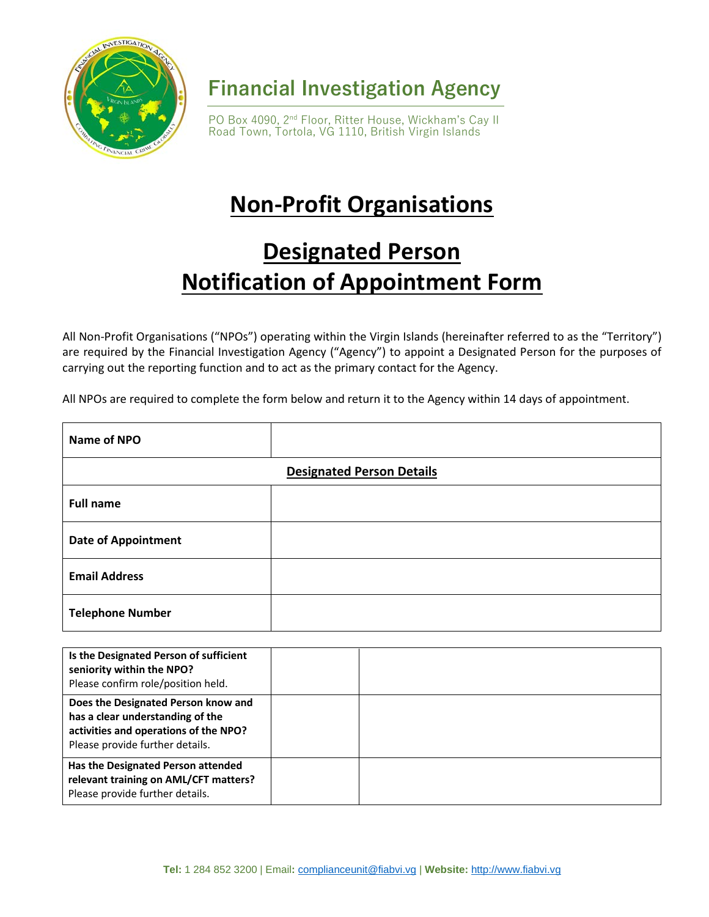

**Financial Investigation Agency**

PO Box 4090, 2<sup>nd</sup> Floor, Ritter House, Wickham's Cay II Road Town, Tortola, VG 1110, British Virgin Islands

## **Non-Profit Organisations**

## **Designated Person Notification of Appointment Form**

All Non-Profit Organisations ("NPOs") operating within the Virgin Islands (hereinafter referred to as the "Territory") are required by the Financial Investigation Agency ("Agency") to appoint a Designated Person for the purposes of carrying out the reporting function and to act as the primary contact for the Agency.

All NPOs are required to complete the form below and return it to the Agency within 14 days of appointment.

| Name of NPO                      |  |  |
|----------------------------------|--|--|
| <b>Designated Person Details</b> |  |  |
| <b>Full name</b>                 |  |  |
| <b>Date of Appointment</b>       |  |  |
| <b>Email Address</b>             |  |  |
| <b>Telephone Number</b>          |  |  |

| Is the Designated Person of sufficient<br>seniority within the NPO?<br>Please confirm role/position held.                                           |  |
|-----------------------------------------------------------------------------------------------------------------------------------------------------|--|
| Does the Designated Person know and<br>has a clear understanding of the<br>activities and operations of the NPO?<br>Please provide further details. |  |
| Has the Designated Person attended<br>relevant training on AML/CFT matters?<br>Please provide further details.                                      |  |